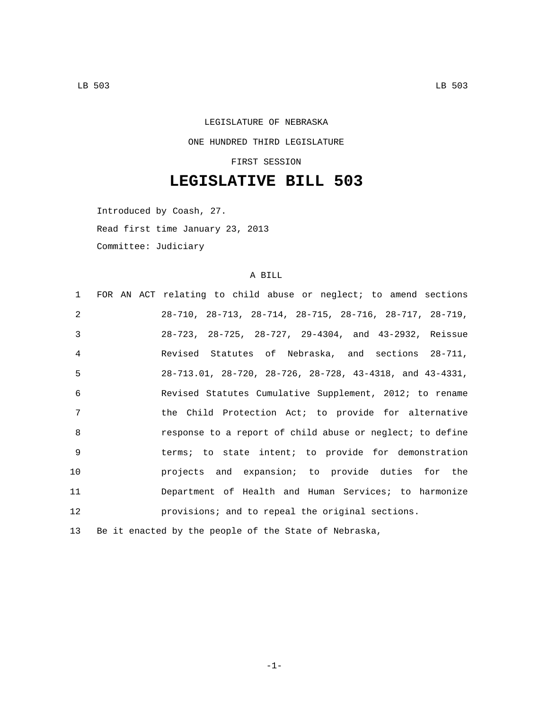## LEGISLATURE OF NEBRASKA ONE HUNDRED THIRD LEGISLATURE FIRST SESSION

# **LEGISLATIVE BILL 503**

Introduced by Coash, 27. Read first time January 23, 2013 Committee: Judiciary

### A BILL

| 1                 | FOR AN ACT relating to child abuse or neglect; to amend sections             |
|-------------------|------------------------------------------------------------------------------|
| $\mathcal{L}$     | $28-710$ , $28-713$ , $28-714$ , $28-715$ , $28-716$ , $28-717$ , $28-719$ , |
| 3                 | 28-723, 28-725, 28-727, 29-4304, and 43-2932, Reissue                        |
| 4                 | Revised Statutes of Nebraska, and sections 28-711,                           |
| 5                 | 28-713.01, 28-720, 28-726, 28-728, 43-4318, and 43-4331,                     |
| 6                 | Revised Statutes Cumulative Supplement, 2012; to rename                      |
| 7                 | the Child Protection Act; to provide for alternative                         |
| 8                 | response to a report of child abuse or neglect; to define                    |
| 9                 | terms; to state intent; to provide for demonstration                         |
| 10                | projects and expansion; to provide duties for the                            |
| 11                | Department of Health and Human Services; to harmonize                        |
| $12 \overline{ }$ | provisions; and to repeal the original sections.                             |
| 13                | Be it enacted by the people of the State of Nebraska,                        |

-1-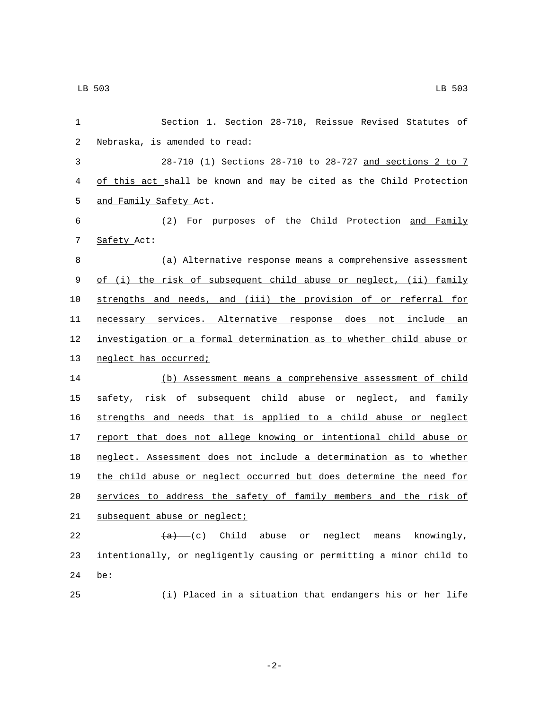| 1              | Section 1. Section 28-710, Reissue Revised Statutes of               |
|----------------|----------------------------------------------------------------------|
| $\overline{c}$ | Nebraska, is amended to read:                                        |
| 3              | 28-710 (1) Sections 28-710 to 28-727 and sections 2 to 7             |
| 4              | of this act shall be known and may be cited as the Child Protection  |
| 5              | and Family Safety Act.                                               |
| 6              | (2) For purposes of the Child Protection and Family                  |
| 7              | Safety Act:                                                          |
| 8              | (a) Alternative response means a comprehensive assessment            |
| 9              | of (i) the risk of subsequent child abuse or neglect, (ii) family    |
| 10             | strengths and needs, and (iii) the provision of or referral for      |
| 11             | necessary services. Alternative response does not include an         |
| 12             | investigation or a formal determination as to whether child abuse or |
| 13             | neglect has occurred;                                                |
| 14             | (b) Assessment means a comprehensive assessment of child             |
| 15             | safety, risk of subsequent child abuse or neglect, and family        |
| 16             | strengths and needs that is applied to a child abuse or neglect      |
| 17             | report that does not allege knowing or intentional child abuse or    |
| 18             | neglect. Assessment does not include a determination as to whether   |
| 19             | the child abuse or neglect occurred but does determine the need for  |
| 20             | services to address the safety of family members and the risk of     |
| 21             | subsequent abuse or neglect;                                         |
| 22             | $(a)$ (c) Child abuse or neglect<br>knowingly,<br>means              |
| 23             | intentionally, or negligently causing or permitting a minor child to |
| 24             | be:                                                                  |
| 25             | (i) Placed in a situation that endangers his or her life             |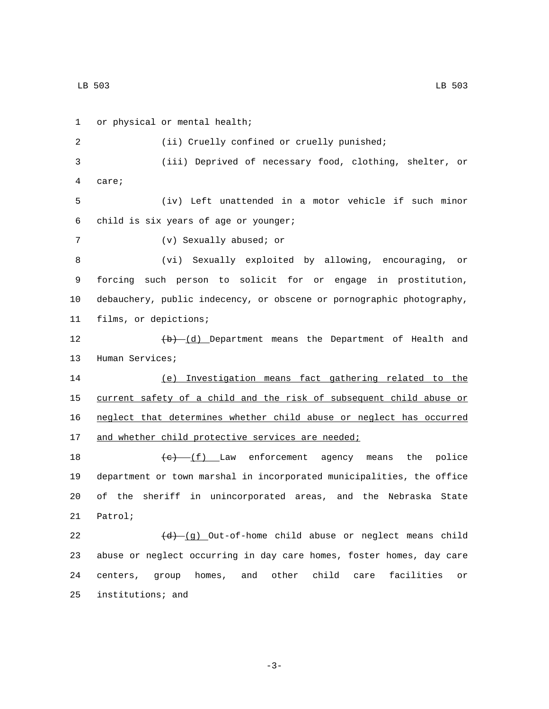1 or physical or mental health; 2 (ii) Cruelly confined or cruelly punished; 3 (iii) Deprived of necessary food, clothing, shelter, or care;4 5 (iv) Left unattended in a motor vehicle if such minor child is six years of age or younger;6 7 (v) Sexually abused; or 8 (vi) Sexually exploited by allowing, encouraging, or 9 forcing such person to solicit for or engage in prostitution, 10 debauchery, public indecency, or obscene or pornographic photography, 11 films, or depictions; 12 (b) (d) Department means the Department of Health and 13 Human Services; 14 (e) Investigation means fact gathering related to the 15 current safety of a child and the risk of subsequent child abuse or 16 neglect that determines whether child abuse or neglect has occurred 17 and whether child protective services are needed; 18  $(e)$   $(f)$  Law enforcement agency means the police 19 department or town marshal in incorporated municipalities, the office 20 of the sheriff in unincorporated areas, and the Nebraska State 21 Patrol; 22  $(d)-(q)$  Out-of-home child abuse or neglect means child 23 abuse or neglect occurring in day care homes, foster homes, day care 24 centers, group homes, and other child care facilities or 25 institutions; and

-3-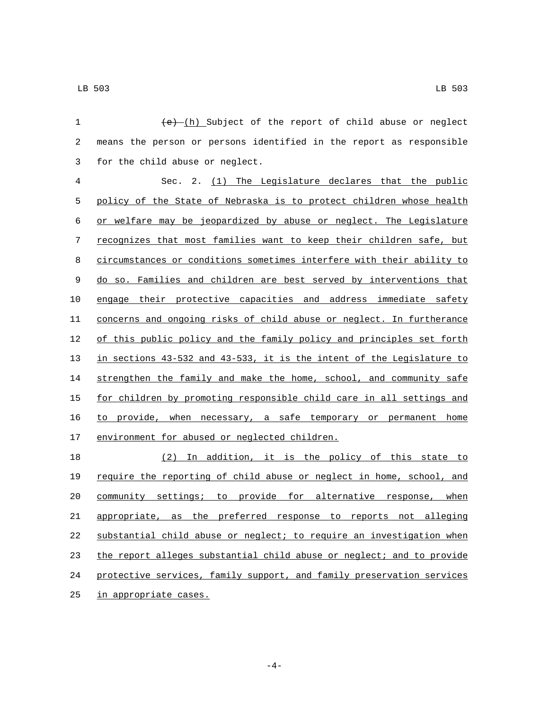| $\mathbf 1$ | $(e)$ (h) Subject of the report of child abuse or neglect             |
|-------------|-----------------------------------------------------------------------|
| 2           | means the person or persons identified in the report as responsible   |
| 3           | for the child abuse or neglect.                                       |
| 4           | Sec. 2. (1) The Legislature declares that the public                  |
| 5           | policy of the State of Nebraska is to protect children whose health   |
| 6           | or welfare may be jeopardized by abuse or neglect. The Legislature    |
| 7           | recognizes that most families want to keep their children safe, but   |
| 8           | circumstances or conditions sometimes interfere with their ability to |
| $\mathsf 9$ | do so. Families and children are best served by interventions that    |
| 10          | engage their protective capacities and address immediate safety       |
| 11          | concerns and ongoing risks of child abuse or neglect. In furtherance  |
| 12          | of this public policy and the family policy and principles set forth  |
| 13          | in sections 43-532 and 43-533, it is the intent of the Legislature to |
| 14          | strengthen the family and make the home, school, and community safe   |
| 15          | for children by promoting responsible child care in all settings and  |
| 16          | to provide, when necessary, a safe temporary or permanent home        |
| 17          | environment for abused or neglected children.                         |
| 18          | (2) In addition, it is the policy of this state to                    |
| 19          | require the reporting of child abuse or neglect in home, school, and  |
| 20          | community settings; to provide for alternative response, when         |
| 21          | appropriate, as the preferred response to reports not alleging        |
| 22          | substantial child abuse or neglect; to require an investigation when  |
| 23          | the report alleges substantial child abuse or neglect; and to provide |
| 24          | protective services, family support, and family preservation services |

25 in appropriate cases.

 $-4-$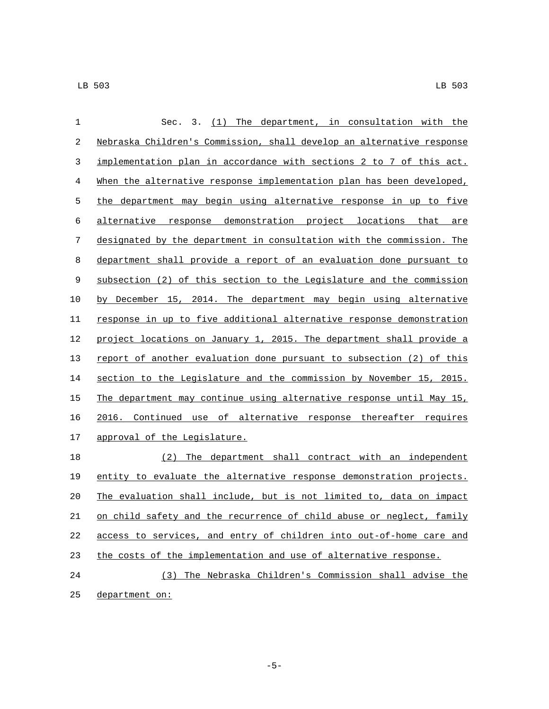| $\mathbf 1$ | (1) The department, in consultation with the<br>Sec. 3.               |
|-------------|-----------------------------------------------------------------------|
| 2           | Nebraska Children's Commission, shall develop an alternative response |
| 3           | implementation plan in accordance with sections 2 to 7 of this act.   |
| 4           | When the alternative response implementation plan has been developed, |
| 5           | the department may begin using alternative response in up to five     |
| 6           | alternative response demonstration project locations that are         |
| 7           | designated by the department in consultation with the commission. The |
| 8           | department shall provide a report of an evaluation done pursuant to   |
| 9           | subsection (2) of this section to the Legislature and the commission  |
| 10          | by December 15, 2014. The department may begin using alternative      |
| 11          | response in up to five additional alternative response demonstration  |
| 12          | project locations on January 1, 2015. The department shall provide a  |
| 13          | report of another evaluation done pursuant to subsection (2) of this  |
| 14          | section to the Legislature and the commission by November 15, 2015.   |
| 15          | The department may continue using alternative response until May 15,  |
| 16          | 2016. Continued use of alternative response thereafter requires       |
| 17          | approval of the Legislature.                                          |
| 18          | (2)<br>The department shall contract with an independent              |
| 19          | entity to evaluate the alternative response demonstration projects.   |
| 20          | The evaluation shall include, but is not limited to, data on impact   |
| 21          | on child safety and the recurrence of child abuse or neglect, family  |
| 22          | access to services, and entry of children into out-of-home care and   |
| 23          | the costs of the implementation and use of alternative response.      |
| 24          | (3) The Nebraska Children's Commission shall advise the               |
| 25          | department on:                                                        |

-5-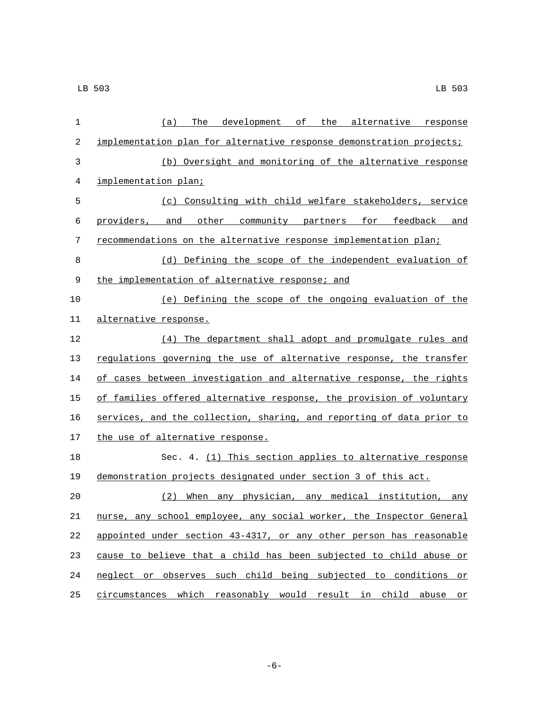| $\mathbf 1$ | (a)<br>The<br>development of the alternative response                 |
|-------------|-----------------------------------------------------------------------|
| 2           | implementation plan for alternative response demonstration projects;  |
| 3           | (b) Oversight and monitoring of the alternative response              |
| 4           | implementation plan;                                                  |
| 5           | (c) Consulting with child welfare stakeholders, service               |
| 6           | providers, and other community partners for feedback and              |
| 7           | recommendations on the alternative response implementation plan;      |
| 8           | (d) Defining the scope of the independent evaluation of               |
| 9           | the implementation of alternative response; and                       |
| 10          | (e) Defining the scope of the ongoing evaluation of the               |
| 11          | alternative response.                                                 |
| 12          | (4) The department shall adopt and promulgate rules and               |
| 13          | regulations governing the use of alternative response, the transfer   |
| 14          | of cases between investigation and alternative response, the rights   |
| 15          | of families offered alternative response, the provision of voluntary  |
| 16          | services, and the collection, sharing, and reporting of data prior to |
| 17          | the use of alternative response.                                      |
| 18          | Sec. 4. (1) This section applies to alternative response              |
| 19          | demonstration projects designated under section 3 of this act.        |
| 20          | When any physician, any medical institution, any<br>(2)               |
| 21          | nurse, any school employee, any social worker, the Inspector General  |
| 22          | appointed under section 43-4317, or any other person has reasonable   |
| 23          | cause to believe that a child has been subjected to child abuse or    |
| 24          | neglect or observes such child being subjected to conditions or       |
| 25          | circumstances which reasonably would result in child abuse or         |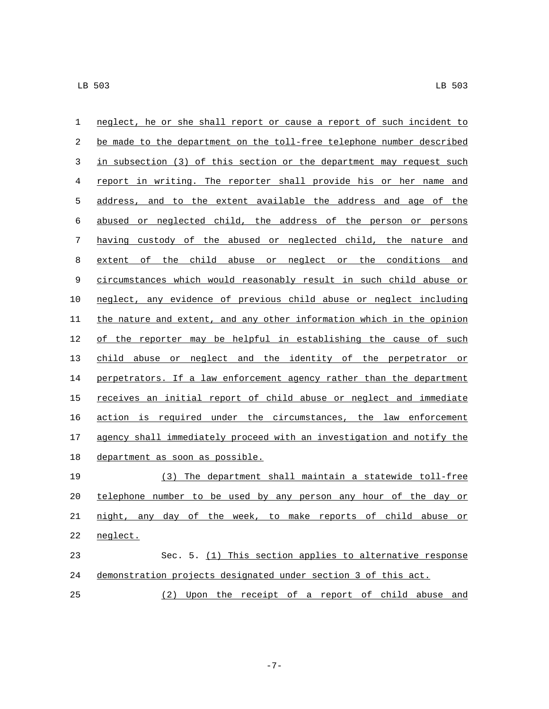| $\mathbf 1$  | neglect, he or she shall report or cause a report of such incident to |
|--------------|-----------------------------------------------------------------------|
| 2            | be made to the department on the toll-free telephone number described |
| $\mathbf{3}$ | in subsection (3) of this section or the department may request such  |
| 4            | report in writing. The reporter shall provide his or her name and     |
| 5            | address, and to the extent available the address and age of the       |
| 6            | abused or neglected child, the address of the person or persons       |
| 7            | having custody of the abused or neglected child, the nature and       |
| 8            | extent of the child abuse or neglect or the conditions and            |
| 9            | circumstances which would reasonably result in such child abuse or    |
| 10           | neglect, any evidence of previous child abuse or neglect including    |
| 11           | the nature and extent, and any other information which in the opinion |
| 12           | of the reporter may be helpful in establishing the cause of such      |
| 13           | child abuse or neglect and the identity of the perpetrator or         |
| 14           | perpetrators. If a law enforcement agency rather than the department  |
| 15           | receives an initial report of child abuse or neglect and immediate    |
| 16           | action is required under the circumstances, the law enforcement       |
| 17           | agency shall immediately proceed with an investigation and notify the |
| 18           | department as soon as possible.                                       |
| 19           | (3) The department shall maintain a statewide toll-free               |
| 20           | telephone number to be used by any person any hour of the day or      |
| 21           | night, any day of the week, to make reports of child abuse or         |
| 22           | neglect.                                                              |
| 23           | Sec. 5. (1) This section applies to alternative response              |
| 24           | demonstration projects designated under section 3 of this act.        |
| 25           | (2) Upon the receipt of a report of child abuse and                   |

-7-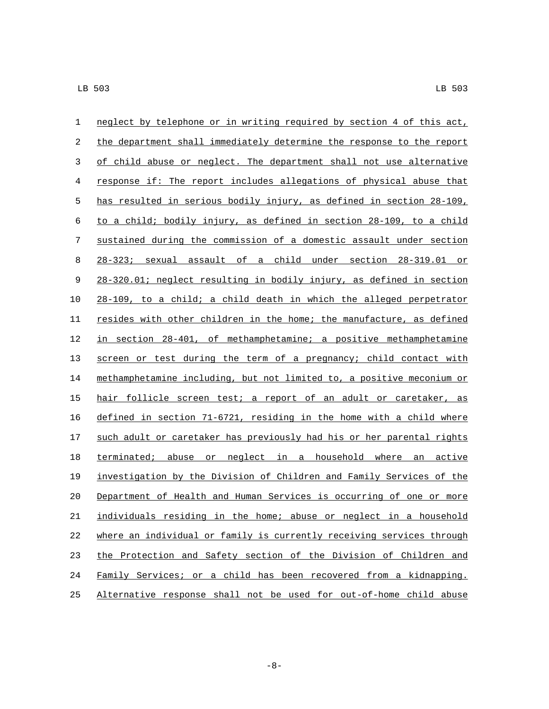| $\mathbf 1$ | neglect by telephone or in writing required by section 4 of this act, |
|-------------|-----------------------------------------------------------------------|
| 2           | the department shall immediately determine the response to the report |
| 3           | of child abuse or neglect. The department shall not use alternative   |
| 4           | response if: The report includes allegations of physical abuse that   |
| 5           | has resulted in serious bodily injury, as defined in section 28-109,  |
| $\sqrt{6}$  | to a child; bodily injury, as defined in section 28-109, to a child   |
| 7           | sustained during the commission of a domestic assault under section   |
| 8           | 28-323; sexual assault of a child under section 28-319.01 or          |
| $\mathsf 9$ | 28-320.01; neglect resulting in bodily injury, as defined in section  |
| 10          | 28-109, to a child; a child death in which the alleged perpetrator    |
| 11          | resides with other children in the home; the manufacture, as defined  |
| 12          | in section 28-401, of methamphetamine; a positive methamphetamine     |
| 13          | screen or test during the term of a pregnancy; child contact with     |
| 14          | methamphetamine including, but not limited to, a positive meconium or |
| 15          | hair follicle screen test; a report of an adult or caretaker, as      |
| 16          | defined in section 71-6721, residing in the home with a child where   |
| 17          | such adult or caretaker has previously had his or her parental rights |
| 18          | terminated; abuse or neglect in a household where an active           |
| 19          | investigation by the Division of Children and Family Services of the  |
| 20          | Department of Health and Human Services is occurring of one or more   |
| 21          | individuals residing in the home; abuse or neglect in a household     |
| 22          | where an individual or family is currently receiving services through |
| 23          | the Protection and Safety section of the Division of Children and     |
| 24          | Family Services; or a child has been recovered from a kidnapping.     |
| 25          | Alternative response shall not be used for out-of-home child abuse    |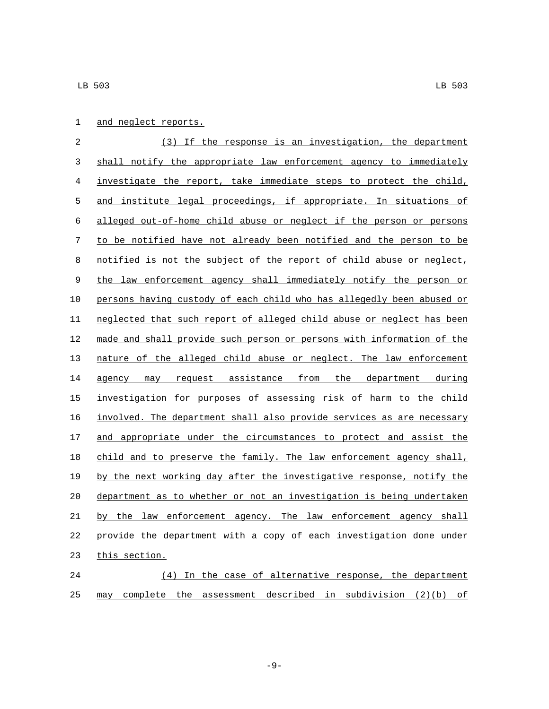|  | and neglect reports. |
|--|----------------------|
|  |                      |

 (3) If the response is an investigation, the department shall notify the appropriate law enforcement agency to immediately investigate the report, take immediate steps to protect the child, and institute legal proceedings, if appropriate. In situations of alleged out-of-home child abuse or neglect if the person or persons to be notified have not already been notified and the person to be notified is not the subject of the report of child abuse or neglect, 9 the law enforcement agency shall immediately notify the person or persons having custody of each child who has allegedly been abused or neglected that such report of alleged child abuse or neglect has been made and shall provide such person or persons with information of the nature of the alleged child abuse or neglect. The law enforcement 14 agency may request assistance from the department during investigation for purposes of assessing risk of harm to the child involved. The department shall also provide services as are necessary 17 and appropriate under the circumstances to protect and assist the 18 child and to preserve the family. The law enforcement agency shall, by the next working day after the investigative response, notify the department as to whether or not an investigation is being undertaken by the law enforcement agency. The law enforcement agency shall provide the department with a copy of each investigation done under 23 this section.

 (4) In the case of alternative response, the department may complete the assessment described in subdivision (2)(b) of

-9-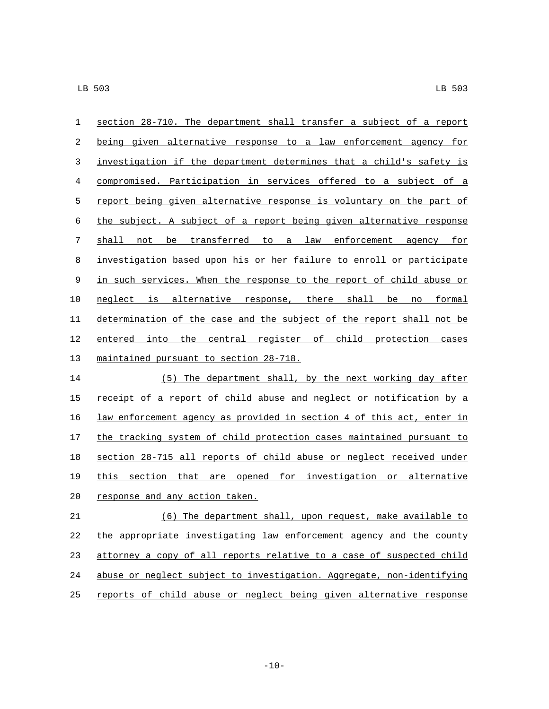section 28-710. The department shall transfer a subject of a report being given alternative response to a law enforcement agency for investigation if the department determines that a child's safety is compromised. Participation in services offered to a subject of a report being given alternative response is voluntary on the part of the subject. A subject of a report being given alternative response shall not be transferred to a law enforcement agency for investigation based upon his or her failure to enroll or participate 9 in such services. When the response to the report of child abuse or neglect is alternative response, there shall be no formal determination of the case and the subject of the report shall not be entered into the central register of child protection cases 13 maintained pursuant to section 28-718.

 (5) The department shall, by the next working day after 15 receipt of a report of child abuse and neglect or notification by a law enforcement agency as provided in section 4 of this act, enter in the tracking system of child protection cases maintained pursuant to section 28-715 all reports of child abuse or neglect received under this section that are opened for investigation or alternative 20 response and any action taken.

 (6) The department shall, upon request, make available to the appropriate investigating law enforcement agency and the county attorney a copy of all reports relative to a case of suspected child abuse or neglect subject to investigation. Aggregate, non-identifying reports of child abuse or neglect being given alternative response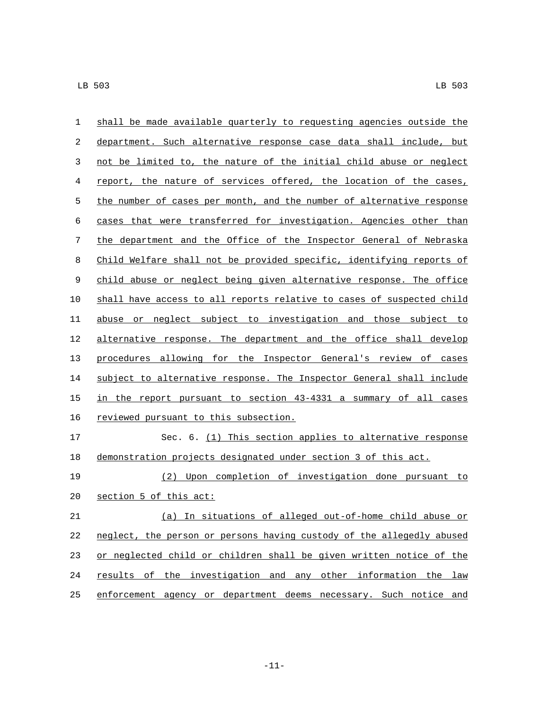| $\mathbf{1}$ | shall be made available quarterly to requesting agencies outside the  |
|--------------|-----------------------------------------------------------------------|
| 2            | department. Such alternative response case data shall include, but    |
| 3            | not be limited to, the nature of the initial child abuse or neglect   |
| 4            | report, the nature of services offered, the location of the cases,    |
| 5            | the number of cases per month, and the number of alternative response |
| 6            | cases that were transferred for investigation. Agencies other than    |
| 7            | the department and the Office of the Inspector General of Nebraska    |
| 8            | Child Welfare shall not be provided specific, identifying reports of  |
| 9            | child abuse or neglect being given alternative response. The office   |
| 10           | shall have access to all reports relative to cases of suspected child |
| 11           | abuse or neglect subject to investigation and those subject to        |
| 12           | alternative response. The department and the office shall develop     |
| 13           | procedures allowing for the Inspector General's review of cases       |
| 14           | subject to alternative response. The Inspector General shall include  |
| 15           | in the report pursuant to section 43-4331 a summary of all cases      |
| 16           | reviewed pursuant to this subsection.                                 |
| 17           | Sec. 6. (1) This section applies to alternative response              |
| 18           | demonstration projects designated under section 3 of this act.        |
| 19           | Upon completion of investigation done pursuant to<br>(2)              |
| 20           | section 5 of this act:                                                |
| 21           | (a) In situations of alleged out-of-home child abuse or               |
| 22           | neglect, the person or persons having custody of the allegedly abused |
| 23           | or neglected child or children shall be given written notice of the   |
| 24           | results of the investigation and any other information the law        |
| 25           | enforcement agency or department deems necessary. Such notice and     |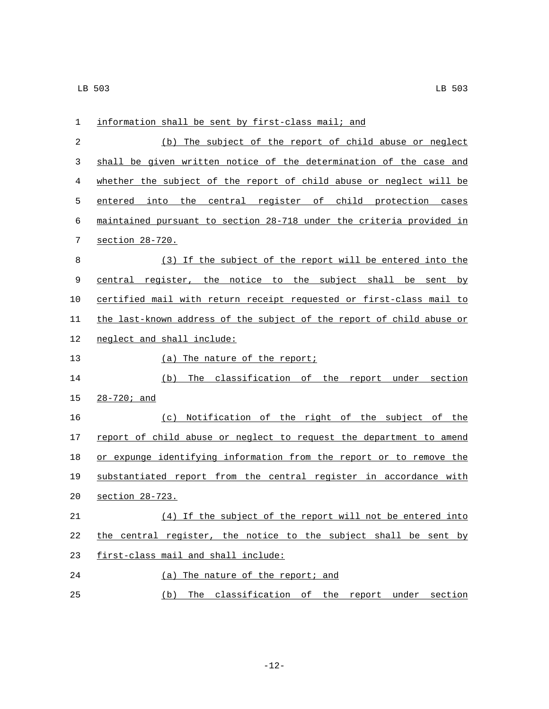| 1  | information shall be sent by first-class mail; and                    |
|----|-----------------------------------------------------------------------|
| 2  | (b) The subject of the report of child abuse or neglect               |
| 3  | shall be given written notice of the determination of the case and    |
| 4  | whether the subject of the report of child abuse or neglect will be   |
| 5  | entered into the central register of child protection cases           |
| 6  | maintained pursuant to section 28-718 under the criteria provided in  |
| 7  | section 28-720.                                                       |
| 8  | (3) If the subject of the report will be entered into the             |
| 9  | central register, the notice to the subject shall be sent by          |
| 10 | certified mail with return receipt requested or first-class mail to   |
| 11 | the last-known address of the subject of the report of child abuse or |
| 12 | neglect and shall include:                                            |
| 13 | (a) The nature of the report;                                         |
| 14 | The classification of the report under section<br>(b)                 |
| 15 | $28 - 720i$ and                                                       |
| 16 | Notification of the right of the subject of the<br>(c)                |
| 17 | report of child abuse or neglect to request the department to amend   |
| 18 | or expunge identifying information from the report or to remove the   |
| 19 | substantiated report from the central register in accordance with     |
| 20 | section 28-723.                                                       |
| 21 | (4) If the subject of the report will not be entered into             |
| 22 | the central register, the notice to the subject shall be sent by      |
| 23 | first-class mail and shall include:                                   |
| 24 | (a) The nature of the report; and                                     |
| 25 | The classification of the report under section<br>(b)                 |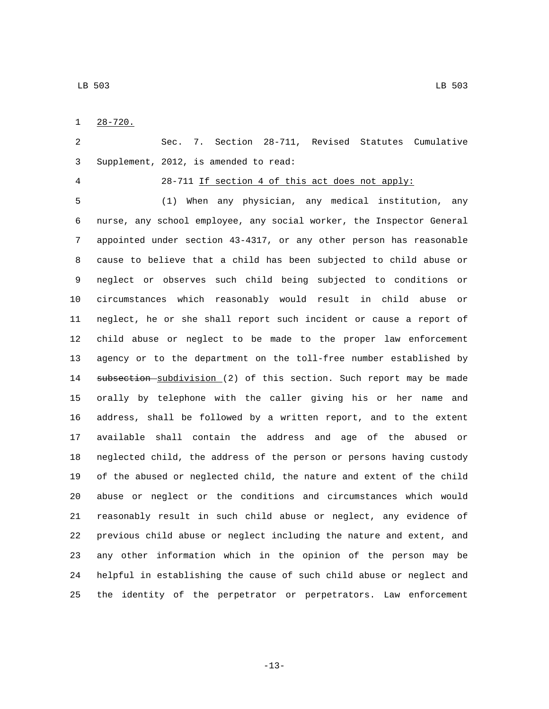$1 \quad 28-720.$ 

 Sec. 7. Section 28-711, Revised Statutes Cumulative Supplement, 2012, is amended to read:3

### 28-711 If section 4 of this act does not apply:

 (1) When any physician, any medical institution, any nurse, any school employee, any social worker, the Inspector General appointed under section 43-4317, or any other person has reasonable cause to believe that a child has been subjected to child abuse or neglect or observes such child being subjected to conditions or circumstances which reasonably would result in child abuse or neglect, he or she shall report such incident or cause a report of child abuse or neglect to be made to the proper law enforcement agency or to the department on the toll-free number established by 14 subsection subdivision (2) of this section. Such report may be made orally by telephone with the caller giving his or her name and address, shall be followed by a written report, and to the extent available shall contain the address and age of the abused or neglected child, the address of the person or persons having custody of the abused or neglected child, the nature and extent of the child abuse or neglect or the conditions and circumstances which would reasonably result in such child abuse or neglect, any evidence of previous child abuse or neglect including the nature and extent, and any other information which in the opinion of the person may be helpful in establishing the cause of such child abuse or neglect and the identity of the perpetrator or perpetrators. Law enforcement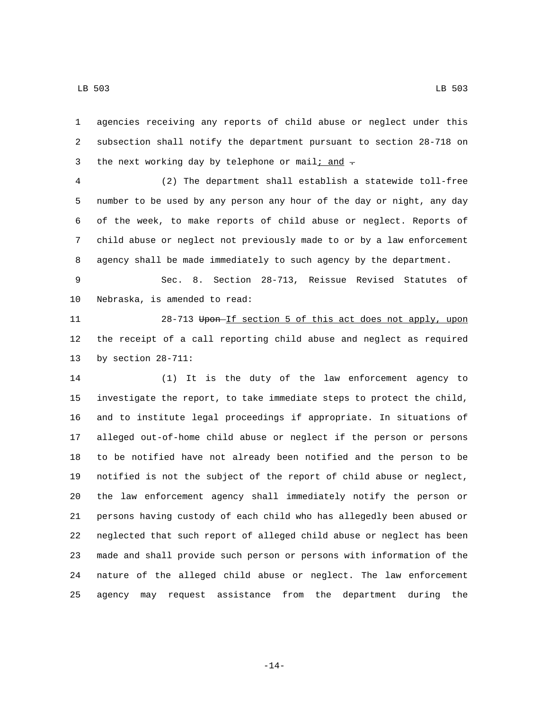agencies receiving any reports of child abuse or neglect under this subsection shall notify the department pursuant to section 28-718 on 3 the next working day by telephone or mail; and  $\pm$ 

 (2) The department shall establish a statewide toll-free number to be used by any person any hour of the day or night, any day of the week, to make reports of child abuse or neglect. Reports of child abuse or neglect not previously made to or by a law enforcement agency shall be made immediately to such agency by the department.

 Sec. 8. Section 28-713, Reissue Revised Statutes of 10 Nebraska, is amended to read:

11 28-713 Upon If section 5 of this act does not apply, upon the receipt of a call reporting child abuse and neglect as required 13 by section  $28-711$ :

 (1) It is the duty of the law enforcement agency to investigate the report, to take immediate steps to protect the child, and to institute legal proceedings if appropriate. In situations of alleged out-of-home child abuse or neglect if the person or persons to be notified have not already been notified and the person to be notified is not the subject of the report of child abuse or neglect, the law enforcement agency shall immediately notify the person or persons having custody of each child who has allegedly been abused or neglected that such report of alleged child abuse or neglect has been made and shall provide such person or persons with information of the nature of the alleged child abuse or neglect. The law enforcement agency may request assistance from the department during the

-14-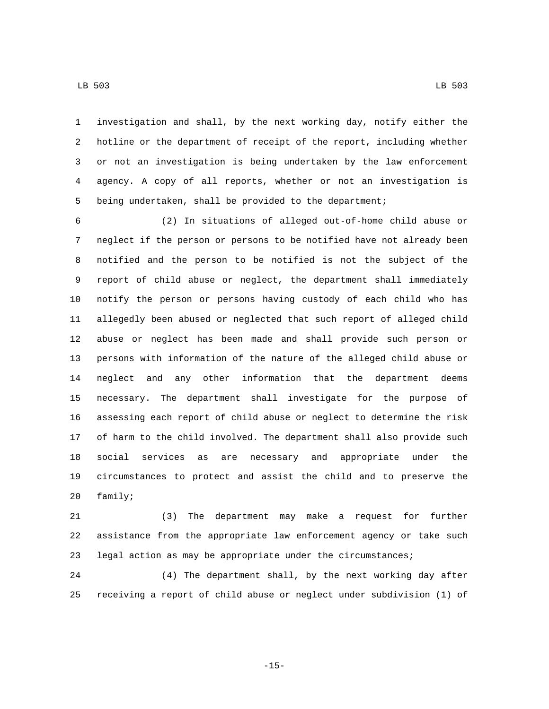investigation and shall, by the next working day, notify either the

 hotline or the department of receipt of the report, including whether or not an investigation is being undertaken by the law enforcement agency. A copy of all reports, whether or not an investigation is being undertaken, shall be provided to the department;

 (2) In situations of alleged out-of-home child abuse or neglect if the person or persons to be notified have not already been notified and the person to be notified is not the subject of the report of child abuse or neglect, the department shall immediately notify the person or persons having custody of each child who has allegedly been abused or neglected that such report of alleged child abuse or neglect has been made and shall provide such person or persons with information of the nature of the alleged child abuse or neglect and any other information that the department deems necessary. The department shall investigate for the purpose of assessing each report of child abuse or neglect to determine the risk of harm to the child involved. The department shall also provide such social services as are necessary and appropriate under the circumstances to protect and assist the child and to preserve the 20 family;

 (3) The department may make a request for further assistance from the appropriate law enforcement agency or take such legal action as may be appropriate under the circumstances;

 (4) The department shall, by the next working day after receiving a report of child abuse or neglect under subdivision (1) of

-15-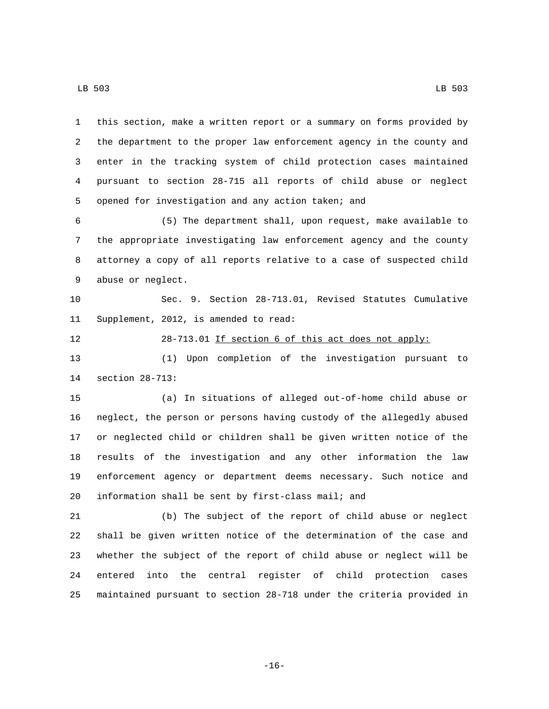| 1  | this section, make a written report or a summary on forms provided by |
|----|-----------------------------------------------------------------------|
| 2  | the department to the proper law enforcement agency in the county and |
| 3  | enter in the tracking system of child protection cases maintained     |
| 4  | pursuant to section 28-715 all reports of child abuse or neglect      |
| 5  | opened for investigation and any action taken; and                    |
| 6  | (5) The department shall, upon request, make available to             |
| 7  | the appropriate investigating law enforcement agency and the county   |
| 8  | attorney a copy of all reports relative to a case of suspected child  |
| 9  | abuse or neglect.                                                     |
| 10 | Sec. 9. Section 28-713.01, Revised Statutes Cumulative                |
| 11 | Supplement, 2012, is amended to read:                                 |
| 12 | 28-713.01 If section 6 of this act does not apply:                    |
| 13 | Upon completion of the investigation pursuant<br>(1)<br>to            |
| 14 | section 28-713:                                                       |
| 15 | (a) In situations of alleged out-of-home child abuse or               |
| 16 | neglect, the person or persons having custody of the allegedly abused |
| 17 | or neglected child or children shall be given written notice of the   |
| 18 | results of the investigation and any other information the law        |
| 19 | enforcement agency or department deems necessary. Such notice and     |
| 20 | information shall be sent by first-class mail; and                    |
| 21 | (b) The subject of the report of child abuse or neglect               |
| 22 | shall be given written notice of the determination of the case and    |
| 23 | whether the subject of the report of child abuse or neglect will be   |
| 24 | central register of child protection<br>into the<br>entered<br>cases  |
| 25 | maintained pursuant to section 28-718 under the criteria provided in  |

-16-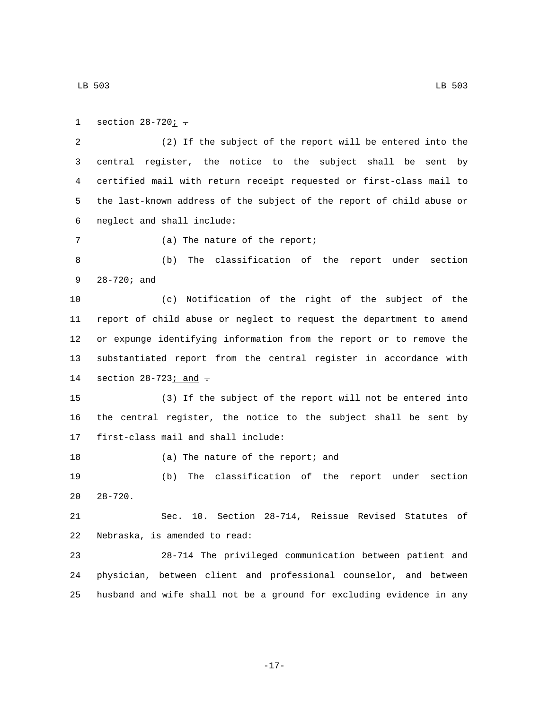1 section  $28-720i$ . (2) If the subject of the report will be entered into the central register, the notice to the subject shall be sent by certified mail with return receipt requested or first-class mail to the last-known address of the subject of the report of child abuse or neglect and shall include:6 7 (a) The nature of the report; (b) The classification of the report under section 9 28-720; and (c) Notification of the right of the subject of the report of child abuse or neglect to request the department to amend or expunge identifying information from the report or to remove the substantiated report from the central register in accordance with 14 section  $28-723$  *j* and  $\overline{.}$  (3) If the subject of the report will not be entered into the central register, the notice to the subject shall be sent by 17 first-class mail and shall include: 18 (a) The nature of the report; and (b) The classification of the report under section  $20 \quad 28-720$ . Sec. 10. Section 28-714, Reissue Revised Statutes of 22 Nebraska, is amended to read: 28-714 The privileged communication between patient and physician, between client and professional counselor, and between husband and wife shall not be a ground for excluding evidence in any

-17-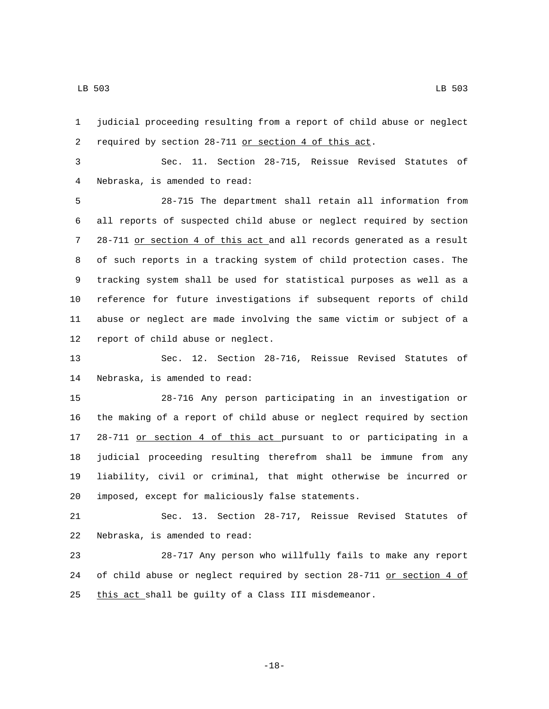LB 503 LB 503

 required by section 28-711 or section 4 of this act. Sec. 11. Section 28-715, Reissue Revised Statutes of Nebraska, is amended to read:4 28-715 The department shall retain all information from all reports of suspected child abuse or neglect required by section 28-711 or section 4 of this act and all records generated as a result of such reports in a tracking system of child protection cases. The tracking system shall be used for statistical purposes as well as a reference for future investigations if subsequent reports of child abuse or neglect are made involving the same victim or subject of a 12 report of child abuse or neglect.

judicial proceeding resulting from a report of child abuse or neglect

 Sec. 12. Section 28-716, Reissue Revised Statutes of 14 Nebraska, is amended to read:

 28-716 Any person participating in an investigation or the making of a report of child abuse or neglect required by section 28-711 or section 4 of this act pursuant to or participating in a judicial proceeding resulting therefrom shall be immune from any liability, civil or criminal, that might otherwise be incurred or imposed, except for maliciously false statements.20

 Sec. 13. Section 28-717, Reissue Revised Statutes of 22 Nebraska, is amended to read:

 28-717 Any person who willfully fails to make any report 24 of child abuse or neglect required by section 28-711 or section 4 of 25 this act shall be guilty of a Class III misdemeanor.

-18-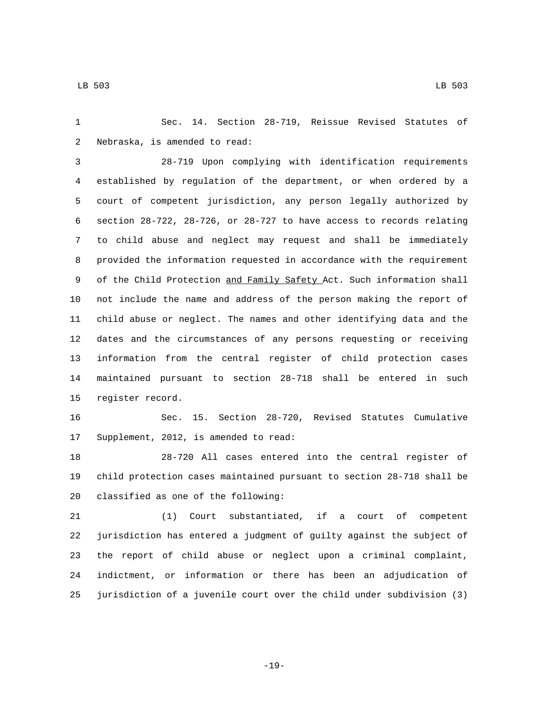Sec. 14. Section 28-719, Reissue Revised Statutes of 2 Nebraska, is amended to read:

 28-719 Upon complying with identification requirements established by regulation of the department, or when ordered by a court of competent jurisdiction, any person legally authorized by section 28-722, 28-726, or 28-727 to have access to records relating to child abuse and neglect may request and shall be immediately provided the information requested in accordance with the requirement 9 of the Child Protection and Family Safety Act. Such information shall not include the name and address of the person making the report of child abuse or neglect. The names and other identifying data and the dates and the circumstances of any persons requesting or receiving information from the central register of child protection cases maintained pursuant to section 28-718 shall be entered in such 15 register record.

 Sec. 15. Section 28-720, Revised Statutes Cumulative 17 Supplement, 2012, is amended to read:

 28-720 All cases entered into the central register of child protection cases maintained pursuant to section 28-718 shall be 20 classified as one of the following:

 (1) Court substantiated, if a court of competent jurisdiction has entered a judgment of guilty against the subject of the report of child abuse or neglect upon a criminal complaint, indictment, or information or there has been an adjudication of jurisdiction of a juvenile court over the child under subdivision (3)

-19-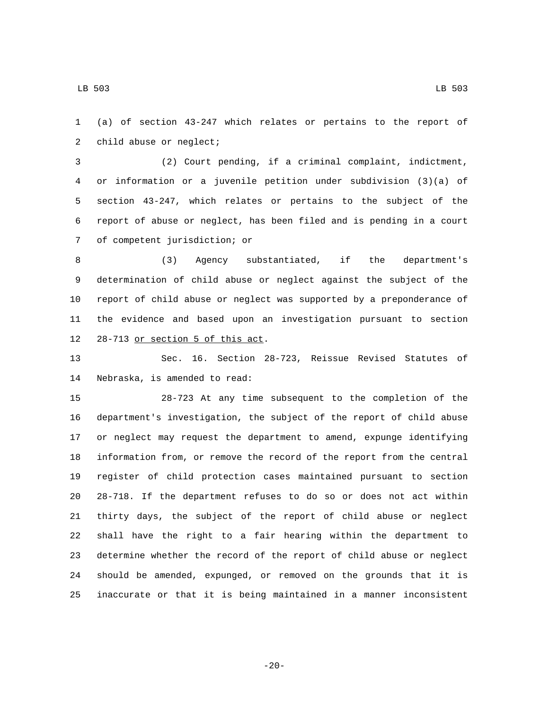(a) of section 43-247 which relates or pertains to the report of 2 child abuse or neglect;

 (2) Court pending, if a criminal complaint, indictment, or information or a juvenile petition under subdivision (3)(a) of section 43-247, which relates or pertains to the subject of the report of abuse or neglect, has been filed and is pending in a court 7 of competent jurisdiction; or

 (3) Agency substantiated, if the department's determination of child abuse or neglect against the subject of the report of child abuse or neglect was supported by a preponderance of the evidence and based upon an investigation pursuant to section 12 28-713 or section 5 of this act.

 Sec. 16. Section 28-723, Reissue Revised Statutes of 14 Nebraska, is amended to read:

 28-723 At any time subsequent to the completion of the department's investigation, the subject of the report of child abuse or neglect may request the department to amend, expunge identifying information from, or remove the record of the report from the central register of child protection cases maintained pursuant to section 28-718. If the department refuses to do so or does not act within thirty days, the subject of the report of child abuse or neglect shall have the right to a fair hearing within the department to determine whether the record of the report of child abuse or neglect should be amended, expunged, or removed on the grounds that it is inaccurate or that it is being maintained in a manner inconsistent

-20-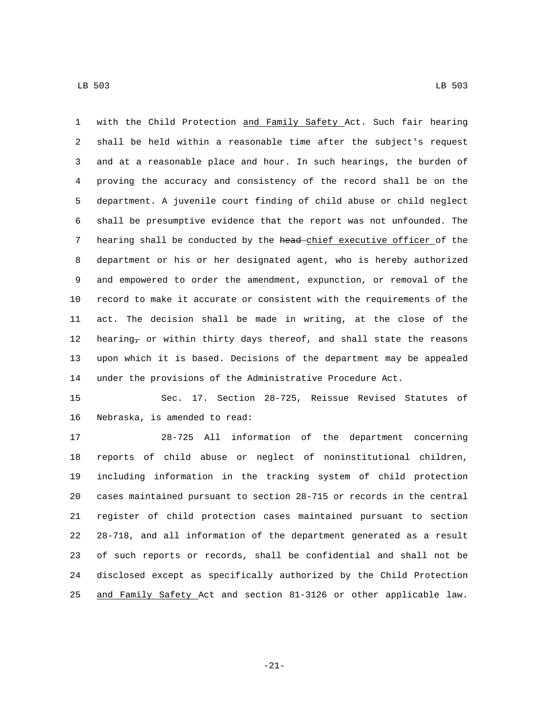with the Child Protection and Family Safety Act. Such fair hearing shall be held within a reasonable time after the subject's request and at a reasonable place and hour. In such hearings, the burden of proving the accuracy and consistency of the record shall be on the department. A juvenile court finding of child abuse or child neglect shall be presumptive evidence that the report was not unfounded. The 7 hearing shall be conducted by the head-chief executive officer of the department or his or her designated agent, who is hereby authorized and empowered to order the amendment, expunction, or removal of the record to make it accurate or consistent with the requirements of the act. The decision shall be made in writing, at the close of the 12 hearing<sub>7</sub> or within thirty days thereof, and shall state the reasons upon which it is based. Decisions of the department may be appealed under the provisions of the Administrative Procedure Act.

 Sec. 17. Section 28-725, Reissue Revised Statutes of 16 Nebraska, is amended to read:

 28-725 All information of the department concerning reports of child abuse or neglect of noninstitutional children, including information in the tracking system of child protection cases maintained pursuant to section 28-715 or records in the central register of child protection cases maintained pursuant to section 28-718, and all information of the department generated as a result of such reports or records, shall be confidential and shall not be disclosed except as specifically authorized by the Child Protection and Family Safety Act and section 81-3126 or other applicable law.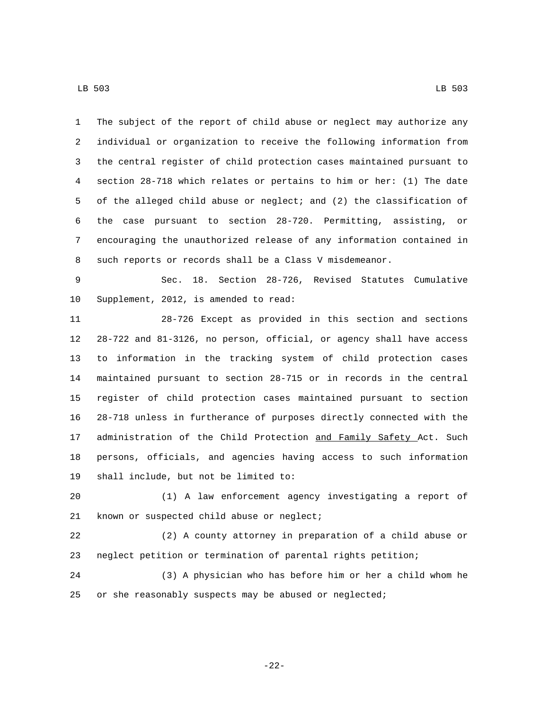The subject of the report of child abuse or neglect may authorize any individual or organization to receive the following information from the central register of child protection cases maintained pursuant to section 28-718 which relates or pertains to him or her: (1) The date of the alleged child abuse or neglect; and (2) the classification of the case pursuant to section 28-720. Permitting, assisting, or encouraging the unauthorized release of any information contained in such reports or records shall be a Class V misdemeanor.

 Sec. 18. Section 28-726, Revised Statutes Cumulative 10 Supplement, 2012, is amended to read:

 28-726 Except as provided in this section and sections 28-722 and 81-3126, no person, official, or agency shall have access to information in the tracking system of child protection cases maintained pursuant to section 28-715 or in records in the central register of child protection cases maintained pursuant to section 28-718 unless in furtherance of purposes directly connected with the 17 administration of the Child Protection and Family Safety Act. Such persons, officials, and agencies having access to such information 19 shall include, but not be limited to:

 (1) A law enforcement agency investigating a report of 21 known or suspected child abuse or neglect;

 (2) A county attorney in preparation of a child abuse or neglect petition or termination of parental rights petition;

 (3) A physician who has before him or her a child whom he or she reasonably suspects may be abused or neglected;

-22-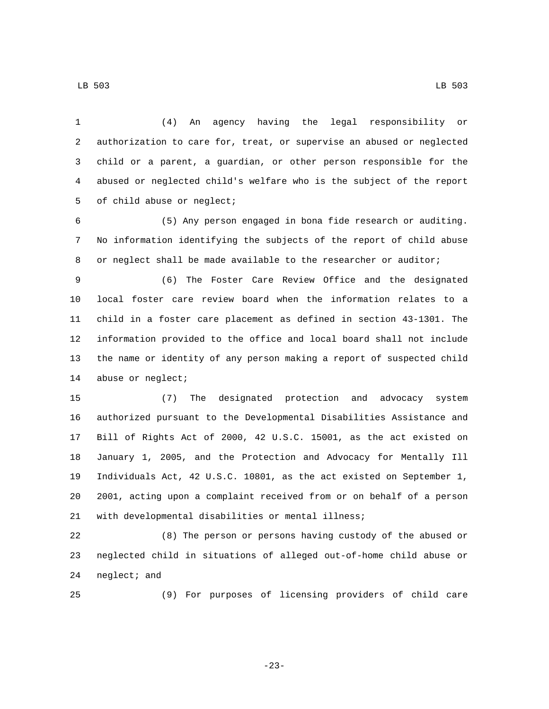(4) An agency having the legal responsibility or authorization to care for, treat, or supervise an abused or neglected child or a parent, a guardian, or other person responsible for the abused or neglected child's welfare who is the subject of the report 5 of child abuse or neglect;

 (5) Any person engaged in bona fide research or auditing. No information identifying the subjects of the report of child abuse or neglect shall be made available to the researcher or auditor;

 (6) The Foster Care Review Office and the designated local foster care review board when the information relates to a child in a foster care placement as defined in section 43-1301. The information provided to the office and local board shall not include the name or identity of any person making a report of suspected child 14 abuse or neglect;

 (7) The designated protection and advocacy system authorized pursuant to the Developmental Disabilities Assistance and Bill of Rights Act of 2000, 42 U.S.C. 15001, as the act existed on January 1, 2005, and the Protection and Advocacy for Mentally Ill Individuals Act, 42 U.S.C. 10801, as the act existed on September 1, 2001, acting upon a complaint received from or on behalf of a person with developmental disabilities or mental illness;

 (8) The person or persons having custody of the abused or neglected child in situations of alleged out-of-home child abuse or 24 neglect; and

(9) For purposes of licensing providers of child care

-23-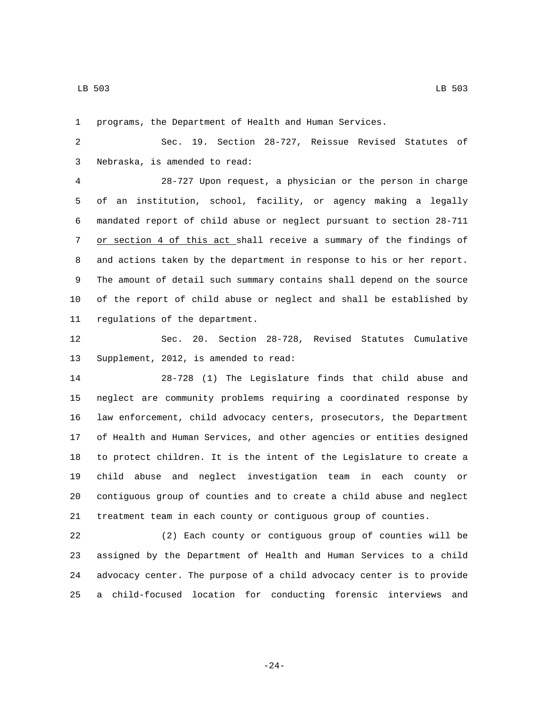programs, the Department of Health and Human Services.

 Sec. 19. Section 28-727, Reissue Revised Statutes of Nebraska, is amended to read:3

 28-727 Upon request, a physician or the person in charge of an institution, school, facility, or agency making a legally mandated report of child abuse or neglect pursuant to section 28-711 or section 4 of this act shall receive a summary of the findings of and actions taken by the department in response to his or her report. The amount of detail such summary contains shall depend on the source of the report of child abuse or neglect and shall be established by 11 regulations of the department.

 Sec. 20. Section 28-728, Revised Statutes Cumulative 13 Supplement, 2012, is amended to read:

 28-728 (1) The Legislature finds that child abuse and neglect are community problems requiring a coordinated response by law enforcement, child advocacy centers, prosecutors, the Department of Health and Human Services, and other agencies or entities designed to protect children. It is the intent of the Legislature to create a child abuse and neglect investigation team in each county or contiguous group of counties and to create a child abuse and neglect treatment team in each county or contiguous group of counties.

 (2) Each county or contiguous group of counties will be assigned by the Department of Health and Human Services to a child advocacy center. The purpose of a child advocacy center is to provide a child-focused location for conducting forensic interviews and

-24-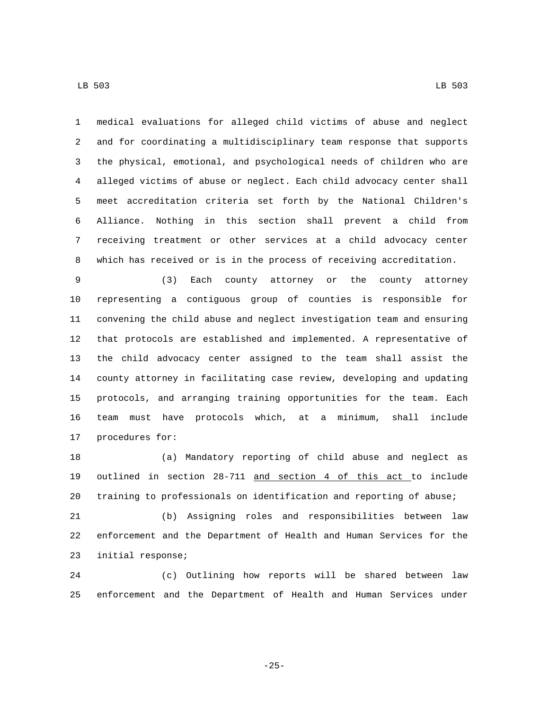LB 503 LB 503

 medical evaluations for alleged child victims of abuse and neglect and for coordinating a multidisciplinary team response that supports the physical, emotional, and psychological needs of children who are alleged victims of abuse or neglect. Each child advocacy center shall meet accreditation criteria set forth by the National Children's Alliance. Nothing in this section shall prevent a child from receiving treatment or other services at a child advocacy center which has received or is in the process of receiving accreditation.

 (3) Each county attorney or the county attorney representing a contiguous group of counties is responsible for convening the child abuse and neglect investigation team and ensuring that protocols are established and implemented. A representative of the child advocacy center assigned to the team shall assist the county attorney in facilitating case review, developing and updating protocols, and arranging training opportunities for the team. Each team must have protocols which, at a minimum, shall include 17 procedures for:

 (a) Mandatory reporting of child abuse and neglect as outlined in section 28-711 and section 4 of this act to include training to professionals on identification and reporting of abuse; (b) Assigning roles and responsibilities between law enforcement and the Department of Health and Human Services for the 23 initial response;

 (c) Outlining how reports will be shared between law enforcement and the Department of Health and Human Services under

-25-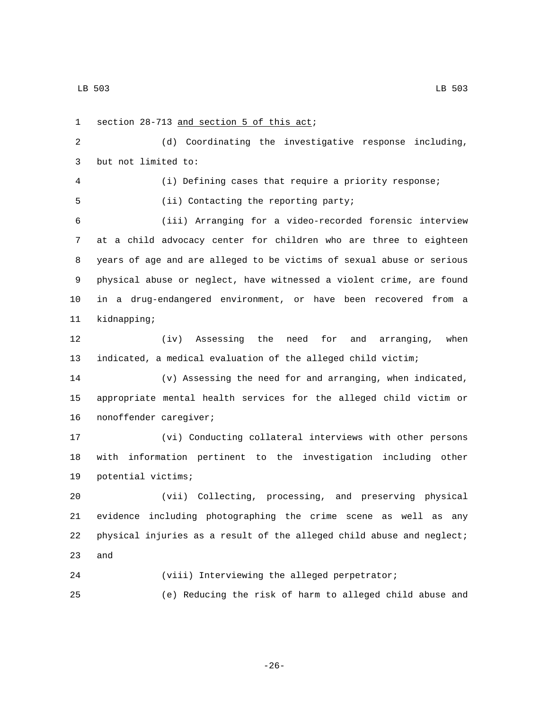1 section 28-713 and section 5 of this act; (d) Coordinating the investigative response including, 3 but not limited to: (i) Defining cases that require a priority response; 5 (ii) Contacting the reporting party; (iii) Arranging for a video-recorded forensic interview at a child advocacy center for children who are three to eighteen years of age and are alleged to be victims of sexual abuse or serious physical abuse or neglect, have witnessed a violent crime, are found in a drug-endangered environment, or have been recovered from a 11 kidnapping; (iv) Assessing the need for and arranging, when indicated, a medical evaluation of the alleged child victim; (v) Assessing the need for and arranging, when indicated, appropriate mental health services for the alleged child victim or 16 nonoffender caregiver; (vi) Conducting collateral interviews with other persons with information pertinent to the investigation including other 19 potential victims; (vii) Collecting, processing, and preserving physical evidence including photographing the crime scene as well as any physical injuries as a result of the alleged child abuse and neglect; 23 and (viii) Interviewing the alleged perpetrator;

(e) Reducing the risk of harm to alleged child abuse and

-26-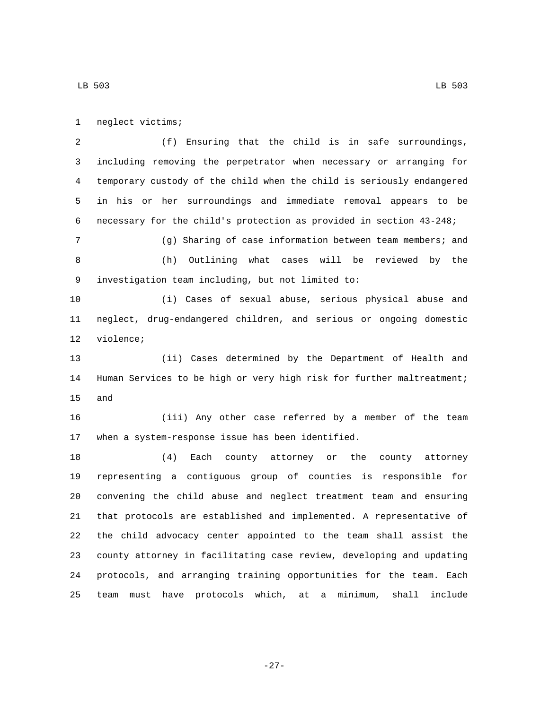1 neglect victims;

 (f) Ensuring that the child is in safe surroundings, including removing the perpetrator when necessary or arranging for temporary custody of the child when the child is seriously endangered in his or her surroundings and immediate removal appears to be necessary for the child's protection as provided in section 43-248; (g) Sharing of case information between team members; and (h) Outlining what cases will be reviewed by the investigation team including, but not limited to:9 (i) Cases of sexual abuse, serious physical abuse and neglect, drug-endangered children, and serious or ongoing domestic 12 violence; (ii) Cases determined by the Department of Health and Human Services to be high or very high risk for further maltreatment;

15 and

 (iii) Any other case referred by a member of the team 17 when a system-response issue has been identified.

 (4) Each county attorney or the county attorney representing a contiguous group of counties is responsible for convening the child abuse and neglect treatment team and ensuring that protocols are established and implemented. A representative of the child advocacy center appointed to the team shall assist the county attorney in facilitating case review, developing and updating protocols, and arranging training opportunities for the team. Each team must have protocols which, at a minimum, shall include

-27-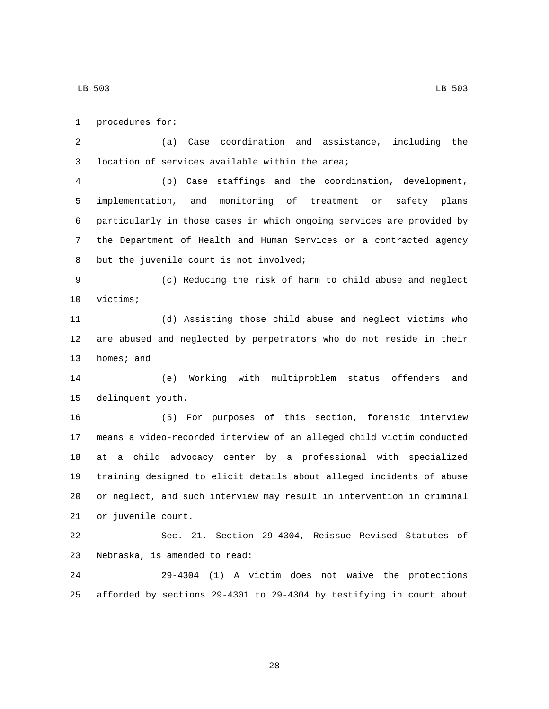1 procedures for:

 (a) Case coordination and assistance, including the 3 location of services available within the area;

 (b) Case staffings and the coordination, development, implementation, and monitoring of treatment or safety plans particularly in those cases in which ongoing services are provided by the Department of Health and Human Services or a contracted agency 8 but the juvenile court is not involved;

 (c) Reducing the risk of harm to child abuse and neglect 10 victims;

 (d) Assisting those child abuse and neglect victims who are abused and neglected by perpetrators who do not reside in their 13 homes; and

 (e) Working with multiproblem status offenders and 15 delinquent youth.

 (5) For purposes of this section, forensic interview means a video-recorded interview of an alleged child victim conducted at a child advocacy center by a professional with specialized training designed to elicit details about alleged incidents of abuse or neglect, and such interview may result in intervention in criminal 21 or juvenile court.

 Sec. 21. Section 29-4304, Reissue Revised Statutes of 23 Nebraska, is amended to read:

 29-4304 (1) A victim does not waive the protections afforded by sections 29-4301 to 29-4304 by testifying in court about

-28-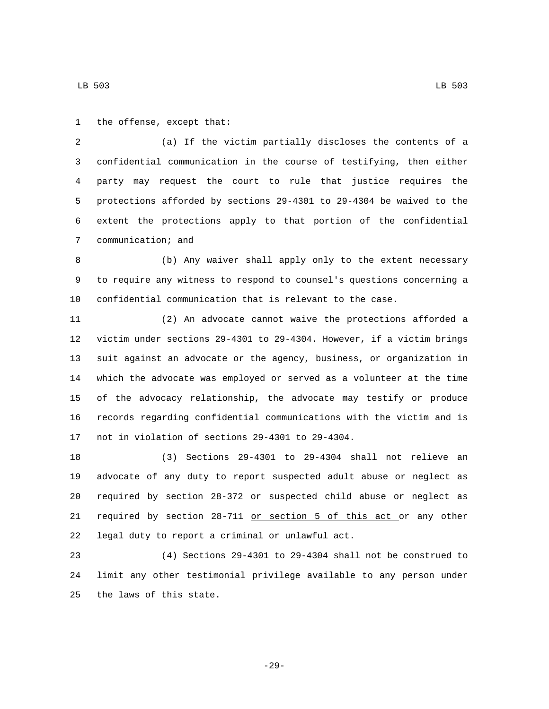1 the offense, except that:

 (a) If the victim partially discloses the contents of a confidential communication in the course of testifying, then either party may request the court to rule that justice requires the protections afforded by sections 29-4301 to 29-4304 be waived to the extent the protections apply to that portion of the confidential 7 communication; and

 (b) Any waiver shall apply only to the extent necessary to require any witness to respond to counsel's questions concerning a confidential communication that is relevant to the case.

 (2) An advocate cannot waive the protections afforded a victim under sections 29-4301 to 29-4304. However, if a victim brings suit against an advocate or the agency, business, or organization in which the advocate was employed or served as a volunteer at the time of the advocacy relationship, the advocate may testify or produce records regarding confidential communications with the victim and is 17 not in violation of sections 29-4301 to 29-4304.

 (3) Sections 29-4301 to 29-4304 shall not relieve an advocate of any duty to report suspected adult abuse or neglect as required by section 28-372 or suspected child abuse or neglect as required by section 28-711 or section 5 of this act or any other 22 legal duty to report a criminal or unlawful act.

 (4) Sections 29-4301 to 29-4304 shall not be construed to limit any other testimonial privilege available to any person under 25 the laws of this state.

-29-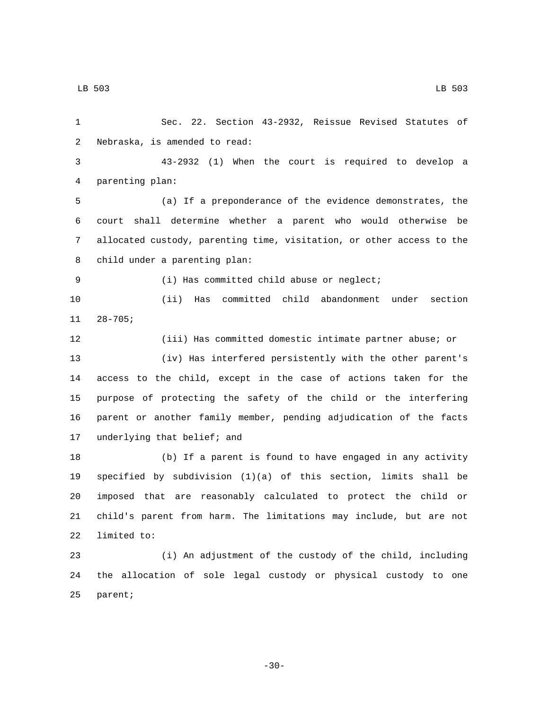Sec. 22. Section 43-2932, Reissue Revised Statutes of 2 Nebraska, is amended to read: 43-2932 (1) When the court is required to develop a parenting plan:4 (a) If a preponderance of the evidence demonstrates, the court shall determine whether a parent who would otherwise be allocated custody, parenting time, visitation, or other access to the 8 child under a parenting plan: 9 (i) Has committed child abuse or neglect; (ii) Has committed child abandonment under section  $11 28 - 705;$  (iii) Has committed domestic intimate partner abuse; or (iv) Has interfered persistently with the other parent's access to the child, except in the case of actions taken for the purpose of protecting the safety of the child or the interfering parent or another family member, pending adjudication of the facts 17 underlying that belief; and (b) If a parent is found to have engaged in any activity specified by subdivision (1)(a) of this section, limits shall be imposed that are reasonably calculated to protect the child or child's parent from harm. The limitations may include, but are not 22 limited to: (i) An adjustment of the custody of the child, including the allocation of sole legal custody or physical custody to one

25 parent;

-30-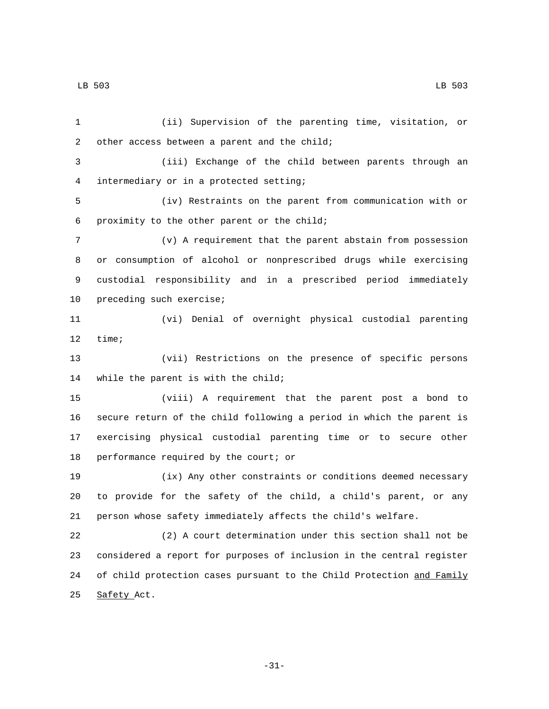LB 503 LB 503

 (ii) Supervision of the parenting time, visitation, or 2 other access between a parent and the child; (iii) Exchange of the child between parents through an intermediary or in a protected setting;4 (iv) Restraints on the parent from communication with or proximity to the other parent or the child;6 (v) A requirement that the parent abstain from possession or consumption of alcohol or nonprescribed drugs while exercising custodial responsibility and in a prescribed period immediately 10 preceding such exercise; (vi) Denial of overnight physical custodial parenting 12 time; (vii) Restrictions on the presence of specific persons 14 while the parent is with the child; (viii) A requirement that the parent post a bond to secure return of the child following a period in which the parent is exercising physical custodial parenting time or to secure other 18 performance required by the court; or (ix) Any other constraints or conditions deemed necessary to provide for the safety of the child, a child's parent, or any person whose safety immediately affects the child's welfare. (2) A court determination under this section shall not be considered a report for purposes of inclusion in the central register 24 of child protection cases pursuant to the Child Protection and Family 25 Safety Act.

-31-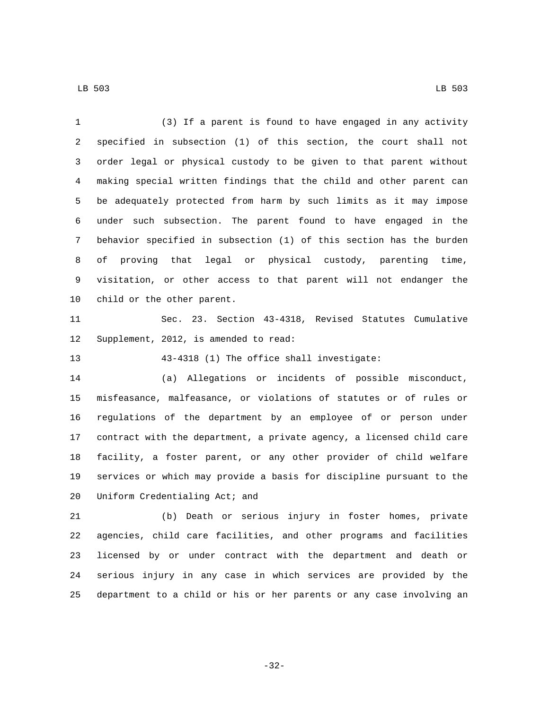(3) If a parent is found to have engaged in any activity specified in subsection (1) of this section, the court shall not order legal or physical custody to be given to that parent without making special written findings that the child and other parent can be adequately protected from harm by such limits as it may impose under such subsection. The parent found to have engaged in the behavior specified in subsection (1) of this section has the burden of proving that legal or physical custody, parenting time, visitation, or other access to that parent will not endanger the 10 child or the other parent. Sec. 23. Section 43-4318, Revised Statutes Cumulative 12 Supplement, 2012, is amended to read: 43-4318 (1) The office shall investigate: (a) Allegations or incidents of possible misconduct, misfeasance, malfeasance, or violations of statutes or of rules or regulations of the department by an employee of or person under contract with the department, a private agency, a licensed child care facility, a foster parent, or any other provider of child welfare services or which may provide a basis for discipline pursuant to the

20 Uniform Credentialing Act; and

 (b) Death or serious injury in foster homes, private agencies, child care facilities, and other programs and facilities licensed by or under contract with the department and death or serious injury in any case in which services are provided by the department to a child or his or her parents or any case involving an

-32-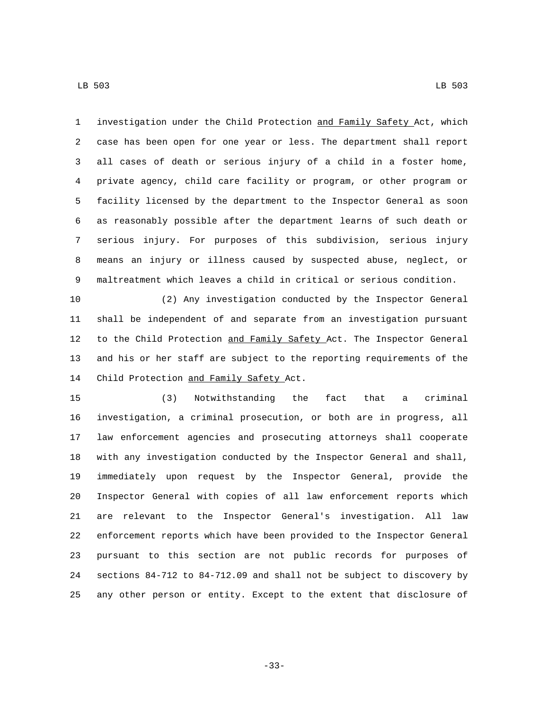LB 503 LB 503

 investigation under the Child Protection and Family Safety Act, which case has been open for one year or less. The department shall report all cases of death or serious injury of a child in a foster home, private agency, child care facility or program, or other program or facility licensed by the department to the Inspector General as soon as reasonably possible after the department learns of such death or serious injury. For purposes of this subdivision, serious injury means an injury or illness caused by suspected abuse, neglect, or maltreatment which leaves a child in critical or serious condition.

 (2) Any investigation conducted by the Inspector General shall be independent of and separate from an investigation pursuant 12 to the Child Protection and Family Safety Act. The Inspector General and his or her staff are subject to the reporting requirements of the 14 Child Protection and Family Safety Act.

 (3) Notwithstanding the fact that a criminal investigation, a criminal prosecution, or both are in progress, all law enforcement agencies and prosecuting attorneys shall cooperate with any investigation conducted by the Inspector General and shall, immediately upon request by the Inspector General, provide the Inspector General with copies of all law enforcement reports which are relevant to the Inspector General's investigation. All law enforcement reports which have been provided to the Inspector General pursuant to this section are not public records for purposes of sections 84-712 to 84-712.09 and shall not be subject to discovery by any other person or entity. Except to the extent that disclosure of

-33-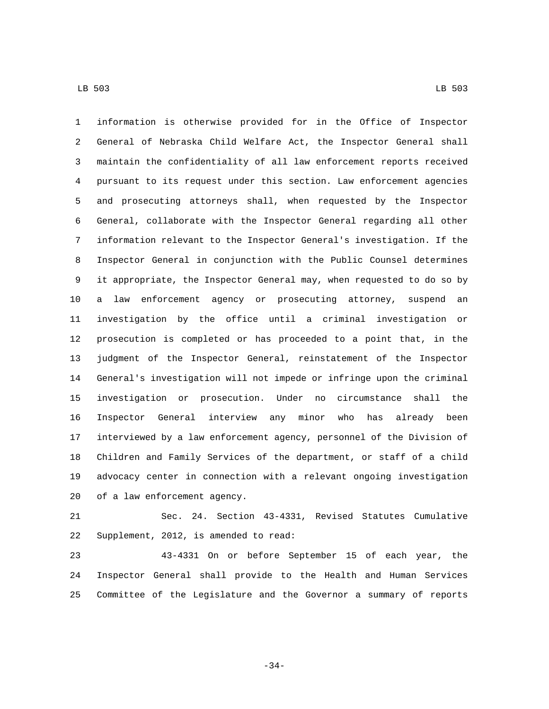information is otherwise provided for in the Office of Inspector General of Nebraska Child Welfare Act, the Inspector General shall maintain the confidentiality of all law enforcement reports received pursuant to its request under this section. Law enforcement agencies and prosecuting attorneys shall, when requested by the Inspector General, collaborate with the Inspector General regarding all other information relevant to the Inspector General's investigation. If the Inspector General in conjunction with the Public Counsel determines it appropriate, the Inspector General may, when requested to do so by a law enforcement agency or prosecuting attorney, suspend an investigation by the office until a criminal investigation or prosecution is completed or has proceeded to a point that, in the judgment of the Inspector General, reinstatement of the Inspector General's investigation will not impede or infringe upon the criminal investigation or prosecution. Under no circumstance shall the Inspector General interview any minor who has already been interviewed by a law enforcement agency, personnel of the Division of Children and Family Services of the department, or staff of a child advocacy center in connection with a relevant ongoing investigation 20 of a law enforcement agency.

 Sec. 24. Section 43-4331, Revised Statutes Cumulative 22 Supplement, 2012, is amended to read:

 43-4331 On or before September 15 of each year, the Inspector General shall provide to the Health and Human Services Committee of the Legislature and the Governor a summary of reports

-34-